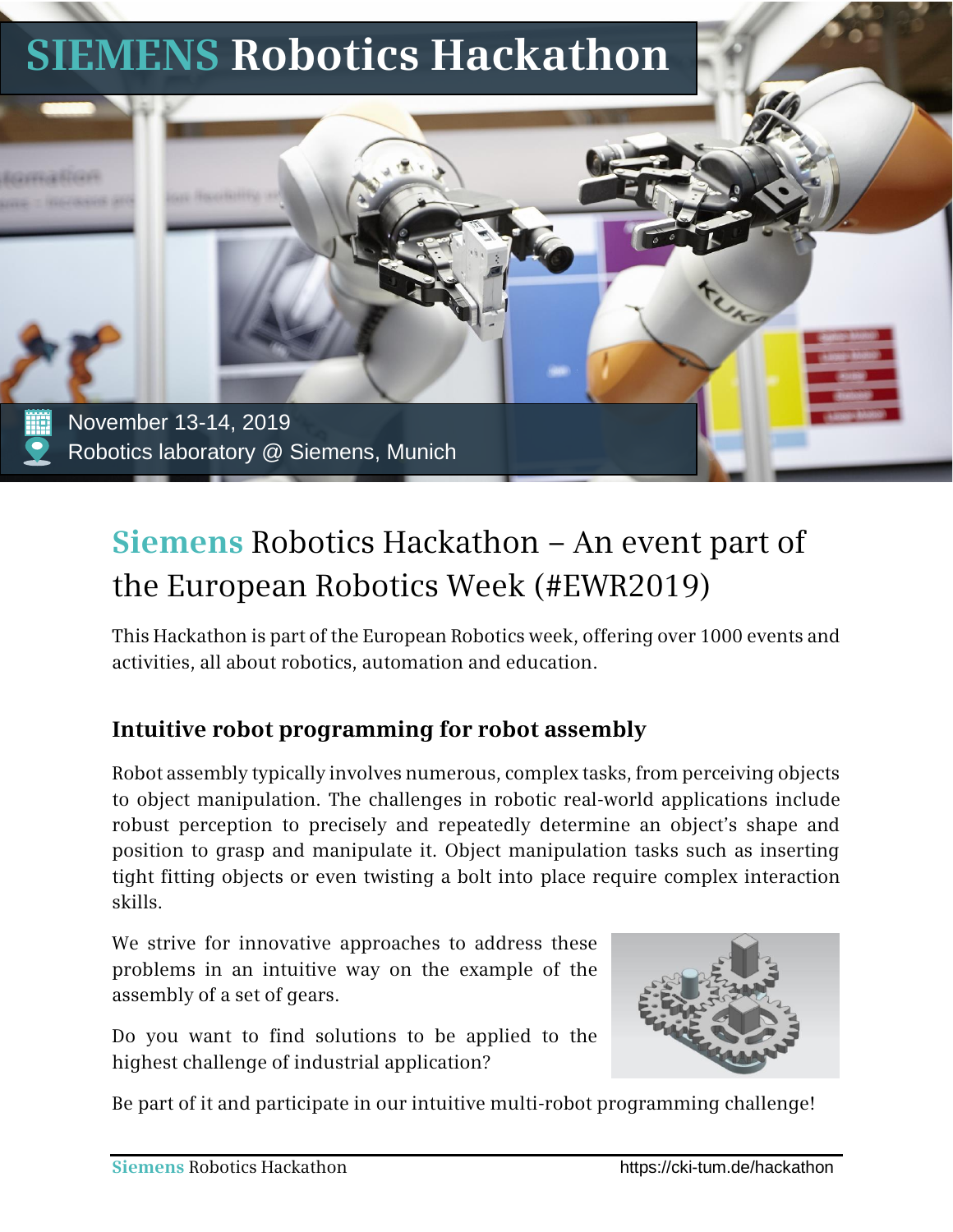

# **Siemens** Robotics Hackathon – An event part of the European Robotics Week (#EWR2019)

This Hackathon is part of the European Robotics week, offering over 1000 events and activities, all about robotics, automation and education.

#### **Intuitive robot programming for robot assembly**

Robot assembly typically involves numerous, complex tasks, from perceiving objects to object manipulation. The challenges in robotic real-world applications include robust perception to precisely and repeatedly determine an object's shape and position to grasp and manipulate it. Object manipulation tasks such as inserting tight fitting objects or even twisting a bolt into place require complex interaction skills.

We strive for innovative approaches to address these problems in an intuitive way on the example of the assembly of a set of gears.

Do you want to find solutions to be applied to the highest challenge of industrial application?



Be part of it and participate in our intuitive multi-robot programming challenge!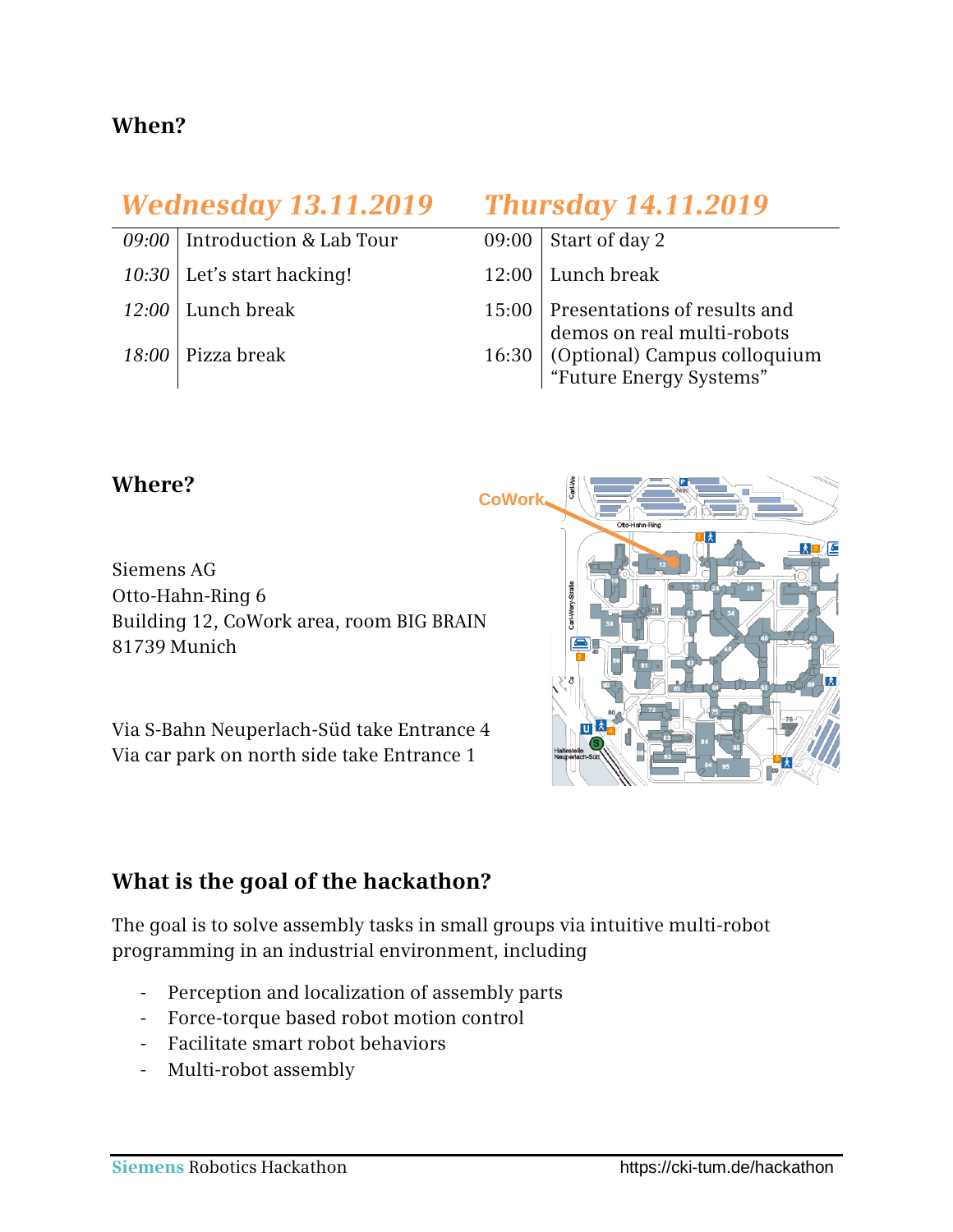#### **When?**

## *Wednesday 13.11.2019 Thursday 14.11.2019*

- $09:00$  Introduction & Lab Tour
- $10:30$  Let's start hacking!
- $12:00$  Lunch break
- 18:00 Pizza break

| 09:00   Start of day 2                                                                                                            |
|-----------------------------------------------------------------------------------------------------------------------------------|
| 12:00 Lunch break                                                                                                                 |
|                                                                                                                                   |
| 15:00 Presentations of results and<br>demos on real multi-robots<br>16:30 (Optional) Campus colloquium<br>"Future Energy Systems" |

#### **Where?**

Siemens AG Otto-Hahn-Ring 6 Building 12, CoWork area, room BIG BRAIN 81739 Munich

Via S-Bahn Neuperlach-Süd take Entrance 4 Via car park on north side take Entrance 1



#### **What is the goal of the hackathon?**

The goal is to solve assembly tasks in small groups via intuitive multi-robot programming in an industrial environment, including

- Perception and localization of assembly parts
- Force-torque based robot motion control
- Facilitate smart robot behaviors
- Multi-robot assembly